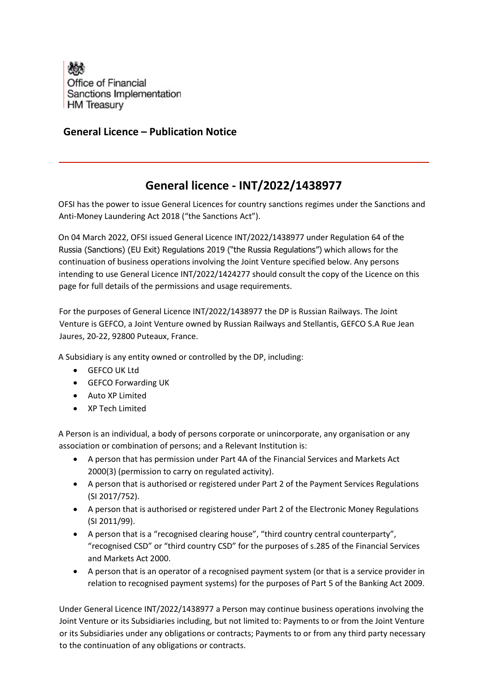

## **General Licence – Publication Notice**

## **General licence - INT/2022/1438977**

OFSI has the power to issue General Licences for country sanctions regimes under the Sanctions and Anti-Money Laundering Act 2018 ("the Sanctions Act").

On 04 March 2022, OFSI issued General Licence INT/2022/1438977 under Regulation 64 of the Russia (Sanctions) (EU Exit) Regulations 2019 ("the Russia Regulations") which allows for the continuation of business operations involving the Joint Venture specified below. Any persons intending to use General Licence INT/2022/1424277 should consult the copy of the Licence on this page for full details of the permissions and usage requirements.

For the purposes of General Licence INT/2022/1438977 the DP is Russian Railways. The Joint Venture is GEFCO, a Joint Venture owned by Russian Railways and Stellantis, GEFCO S.A Rue Jean Jaures, 20-22, 92800 Puteaux, France.

A Subsidiary is any entity owned or controlled by the DP, including:

- GEFCO UK Ltd
- GEFCO Forwarding UK
- Auto XP Limited
- XP Tech Limited

A Person is an individual, a body of persons corporate or unincorporate, any organisation or any association or combination of persons; and a Relevant Institution is:

- A person that has permission under Part 4A of the Financial Services and Markets Act 2000(3) (permission to carry on regulated activity).
- A person that is authorised or registered under Part 2 of the Payment Services Regulations (SI 2017/752).
- A person that is authorised or registered under Part 2 of the Electronic Money Regulations (SI 2011/99).
- A person that is a "recognised clearing house", "third country central counterparty", "recognised CSD" or "third country CSD" for the purposes of s.285 of the Financial Services and Markets Act 2000.
- A person that is an operator of a recognised payment system (or that is a service provider in relation to recognised payment systems) for the purposes of Part 5 of the Banking Act 2009.

Under General Licence INT/2022/1438977 a Person may continue business operations involving the Joint Venture or its Subsidiaries including, but not limited to: Payments to or from the Joint Venture or its Subsidiaries under any obligations or contracts; Payments to or from any third party necessary to the continuation of any obligations or contracts.